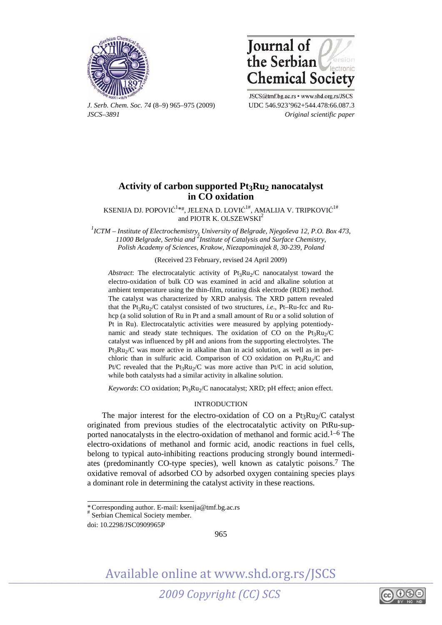



*J. Serb. Chem. Soc. 74* (8–9) 965–975 (2009) UDC 546.923'962+544.478:66.087.3 *JSCS–3891 Original scientific paper* 

JSCS@tmf.bg.ac.rs • www.shd.org.rs/JSCS

# **Activity of carbon supported Pt3Ru2 nanocatalyst in CO oxidation**

KSENIJA DJ. POPOVIĆ $^{1**}$ , JELENA D. LOVIĆ $^{1\#}$ , AMALIJA V. TRIPKOVIĆ $^{1\#}$ and PIOTR K. OLSZEWSKI<sup>2</sup>

*1 ICTM – Institute of Electrochemistry, University of Belgrade, Njegoševa 12, P.O. Box 473, 11000 Belgrade, Serbia and 2 Institute of Catalysis and Surface Chemistry, Polish Academy of Sciences, Krakow, Niezapominajek 8, 30-239, Poland* 

(Received 23 February, revised 24 April 2009)

*Abstract*: The electrocatalytic activity of  $Pt_3Ru_2/C$  nanocatalyst toward the electro-oxidation of bulk CO was examined in acid and alkaline solution at ambient temperature using the thin-film, rotating disk electrode (RDE) method. The catalyst was characterized by XRD analysis. The XRD pattern revealed that the Pt<sub>3</sub>Ru<sub>2</sub>/C catalyst consisted of two structures, *i.e.*, Pt–Ru-fcc and Ruhcp (a solid solution of Ru in Pt and a small amount of Ru or a solid solution of Pt in Ru). Electrocatalytic activities were measured by applying potentiodynamic and steady state techniques. The oxidation of CO on the  $Pt_3Ru_2/C$ catalyst was influenced by pH and anions from the supporting electrolytes. The  $Pt_3Ru_2/C$  was more active in alkaline than in acid solution, as well as in perchloric than in sulfuric acid. Comparison of CO oxidation on  $Pt_3Ru_2/C$  and Pt/C revealed that the Pt<sub>3</sub>Ru<sub>2</sub>/C was more active than Pt/C in acid solution, while both catalysts had a similar activity in alkaline solution.

*Keywords*: CO oxidation; Pt<sub>3</sub>Ru<sub>2</sub>/C nanocatalyst; XRD; pH effect; anion effect.

## INTRODUCTION

The major interest for the electro-oxidation of CO on a  $Pt_3Ru_2/C$  catalyst originated from previous studies of the electrocatalytic activity on PtRu-supported nanocatalysts in the electro-oxidation of methanol and formic acid.<sup>1–6</sup> The electro-oxidations of methanol and formic acid, anodic reactions in fuel cells, belong to typical auto-inhibiting reactions producing strongly bound intermediates (predominantly CO-type species), well known as catalytic poisons.7 The oxidative removal of adsorbed CO by adsorbed oxygen containing species plays a dominant role in determining the catalyst activity in these reactions.

 $\overline{\phantom{a}}$ 

965



<sup>\*</sup> Corresponding author. E-mail: ksenija@tmf.bg.ac.rs

<sup>#</sup> Serbian Chemical Society member.

doi: 10.2298/JSC0909965P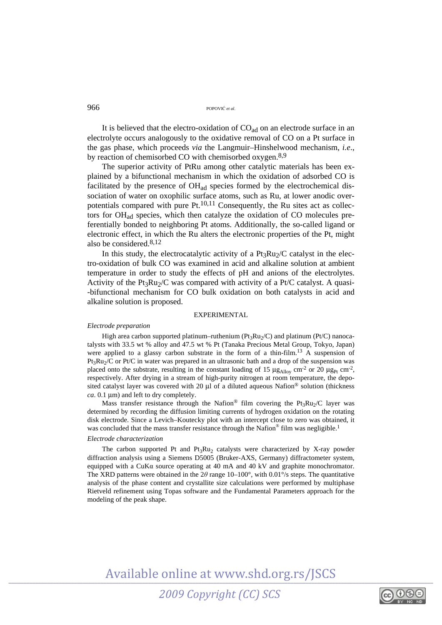966 POPOVI<sup>Ć</sup> *et al*.

It is believed that the electro-oxidation of  $CO<sub>ad</sub>$  on an electrode surface in an electrolyte occurs analogously to the oxidative removal of CO on a Pt surface in the gas phase, which proceeds *via* the Langmuir–Hinshelwood mechanism, *i.e*., by reaction of chemisorbed CO with chemisorbed oxygen.8,9

The superior activity of PtRu among other catalytic materials has been explained by a bifunctional mechanism in which the oxidation of adsorbed CO is facilitated by the presence of OHad species formed by the electrochemical dissociation of water on oxophilic surface atoms, such as Ru, at lower anodic overpotentials compared with pure Pt.<sup>10,11</sup> Consequently, the Ru sites act as collectors for OHad species, which then catalyze the oxidation of CO molecules preferentially bonded to neighboring Pt atoms. Additionally, the so-called ligand or electronic effect, in which the Ru alters the electronic properties of the Pt, might also be considered.8,12

In this study, the electrocatalytic activity of a  $Pt_3Ru_2/C$  catalyst in the electro-oxidation of bulk CO was examined in acid and alkaline solution at ambient temperature in order to study the effects of pH and anions of the electrolytes. Activity of the Pt<sub>3</sub>Ru<sub>2</sub>/C was compared with activity of a Pt/C catalyst. A quasi--bifunctional mechanism for CO bulk oxidation on both catalysts in acid and alkaline solution is proposed.

## EXPERIMENTAL

#### *Electrode preparation*

High area carbon supported platinum–ruthenium ( $Pt_3Ru_2/C$ ) and platinum ( $Pt/C$ ) nanocatalysts with 33.5 wt % alloy and 47.5 wt % Pt (Tanaka Precious Metal Group, Tokyo, Japan) were applied to a glassy carbon substrate in the form of a thin-film.<sup>13</sup> A suspension of Pt<sub>3</sub>Ru<sub>2</sub>/C or Pt/C in water was prepared in an ultrasonic bath and a drop of the suspension was placed onto the substrate, resulting in the constant loading of 15  $\mu$ g<sub>Allov</sub> cm<sup>-2</sup> or 20  $\mu$ g<sub>Pt</sub> cm<sup>-2</sup>, respectively. After drying in a stream of high-purity nitrogen at room temperature, the deposited catalyst layer was covered with 20 μl of a diluted aqueous Nafion® solution (thickness *ca*. 0.1 μm) and left to dry completely.

Mass transfer resistance through the Nafion® film covering the Pt<sub>3</sub>Ru<sub>2</sub>/C layer was determined by recording the diffusion limiting currents of hydrogen oxidation on the rotating disk electrode. Since a Levich–Koutecky plot with an intercept close to zero was obtained, it was concluded that the mass transfer resistance through the Nafion® film was negligible.<sup>1</sup>

#### *Electrode characterization*

The carbon supported Pt and  $Pt_3Ru_2$  catalysts were characterized by X-ray powder diffraction analysis using a Siemens D5005 (Bruker-AXS, Germany) diffractometer system, equipped with a CuKα source operating at 40 mA and 40 kV and graphite monochromator. The XRD patterns were obtained in the 2*θ* range 10–100°, with 0.01°/s steps. The quantitative analysis of the phase content and crystallite size calculations were performed by multiphase Rietveld refinement using Topas software and the Fundamental Parameters approach for the modeling of the peak shape.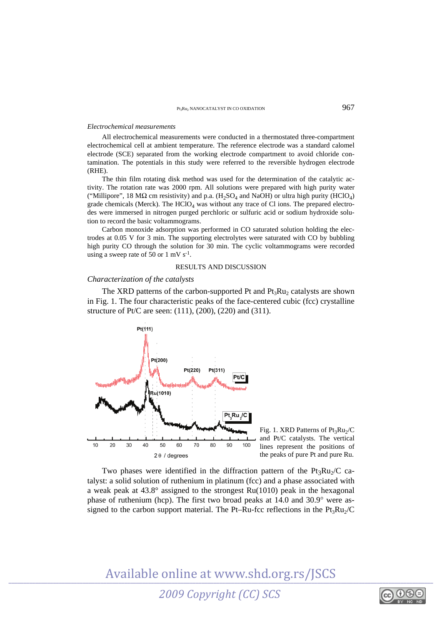#### *Electrochemical measurements*

All electrochemical measurements were conducted in a thermostated three-compartment electrochemical cell at ambient temperature. The reference electrode was a standard calomel electrode (SCE) separated from the working electrode compartment to avoid chloride contamination. The potentials in this study were referred to the reversible hydrogen electrode (RHE).

The thin film rotating disk method was used for the determination of the catalytic activity. The rotation rate was 2000 rpm. All solutions were prepared with high purity water ("Millipore", 18 M $\Omega$  cm resistivity) and p.a. (H<sub>2</sub>SO<sub>4</sub> and NaOH) or ultra high purity (HClO<sub>4</sub>) grade chemicals (Merck). The  $HClO<sub>4</sub>$  was without any trace of Cl ions. The prepared electrodes were immersed in nitrogen purged perchloric or sulfuric acid or sodium hydroxide solution to record the basic voltammograms.

Carbon monoxide adsorption was performed in CO saturated solution holding the electrodes at 0.05 V for 3 min. The supporting electrolytes were saturated with CO by bubbling high purity CO through the solution for 30 min. The cyclic voltammograms were recorded using a sweep rate of 50 or 1 mV  $s^{-1}$ .

## RESULTS AND DISCUSSION

## *Characterization of the catalysts*

The XRD patterns of the carbon-supported Pt and  $Pt_3Ru_2$  catalysts are shown in Fig. 1. The four characteristic peaks of the face-centered cubic (fcc) crystalline structure of Pt/C are seen: (111), (200), (220) and (311).



Two phases were identified in the diffraction pattern of the  $Pt_3Ru_2/C$  catalyst: a solid solution of ruthenium in platinum (fcc) and a phase associated with a weak peak at 43.8° assigned to the strongest Ru(1010) peak in the hexagonal phase of ruthenium (hcp). The first two broad peaks at 14.0 and 30.9° were assigned to the carbon support material. The Pt–Ru-fcc reflections in the  $Pt_3Ru_2/C$ 

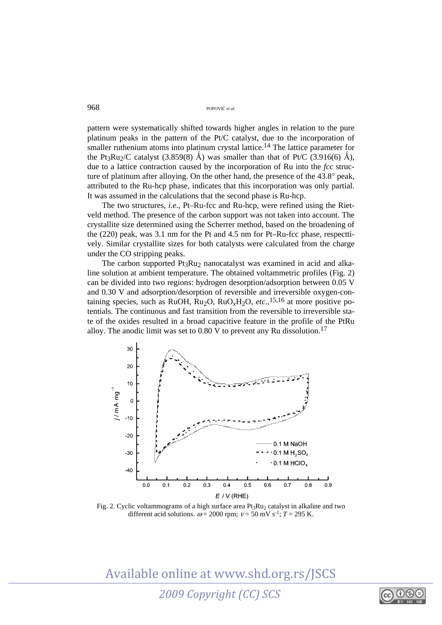968 POPOVI<sup>Ć</sup> *et al*.

pattern were systematically shifted towards higher angles in relation to the pure platinum peaks in the pattern of the Pt/C catalyst, due to the incorporation of smaller ruthenium atoms into platinum crystal lattice.<sup>14</sup> The lattice parameter for the Pt<sub>3</sub>Ru<sub>2</sub>/C catalyst (3.859(8) Å) was smaller than that of Pt/C (3.916(6) Å), due to a lattice contraction caused by the incorporation of Ru into the *fcc* structure of platinum after alloying. On the other hand, the presence of the 43.8° peak, attributed to the Ru-hcp phase, indicates that this incorporation was only partial. It was assumed in the calculations that the second phase is Ru-hcp.

The two structures, *i.e*., Pt–Ru-fcc and Ru-hcp, were refined using the Rietveld method. The presence of the carbon support was not taken into account. The crystallite size determined using the Scherrer method, based on the broadening of the (220) peak, was 3.1 nm for the Pt and 4.5 nm for Pt–Ru-fcc phase, respecttively. Similar crystallite sizes for both catalysts were calculated from the charge under the CO stripping peaks.

The carbon supported  $Pt_3Ru_2$  nanocatalyst was examined in acid and alkaline solution at ambient temperature. The obtained voltammetric profiles (Fig. 2) can be divided into two regions: hydrogen desorption/adsorption between 0.05 V and 0.30 V and adsorption/desorption of reversible and irreversible oxygen-containing species, such as RuOH,  $Ru<sub>2</sub>O$ ,  $Ru<sub>2</sub>H<sub>2</sub>O$ ,  $etc.,<sup>15,16</sup>$  at more positive potentials. The continuous and fast transition from the reversible to irreversible state of the oxides resulted in a broad capacitive feature in the profile of the PtRu alloy. The anodic limit was set to  $0.80$  V to prevent any Ru dissolution.<sup>17</sup>



Fig. 2. Cyclic voltammograms of a high surface area  $Pt_3Ru_2$  catalyst in alkaline and two different acid solutions.  $\omega$  = 2000 rpm;  $v$  = 50 mV s<sup>-1</sup>; *T* = 295 K.

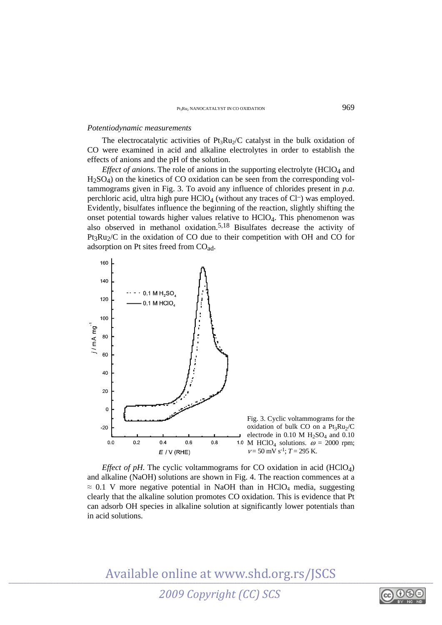#### *Potentiodynamic measurements*

The electrocatalytic activities of  $Pt_3Ru_2/C$  catalyst in the bulk oxidation of CO were examined in acid and alkaline electrolytes in order to establish the effects of anions and the pH of the solution.

*Effect of anions*. The role of anions in the supporting electrolyte (HClO<sub>4</sub> and  $H<sub>2</sub>SO<sub>4</sub>$ ) on the kinetics of CO oxidation can be seen from the corresponding voltammograms given in Fig. 3. To avoid any influence of chlorides present in *p.a*. perchloric acid, ultra high pure  $HCIO<sub>4</sub>$  (without any traces of  $Cl^-$ ) was employed. Evidently, bisulfates influence the beginning of the reaction, slightly shifting the onset potential towards higher values relative to HClO4. This phenomenon was also observed in methanol oxidation.5,18 Bisulfates decrease the activity of  $Pt_3Ru_2/C$  in the oxidation of CO due to their competition with OH and CO for adsorption on Pt sites freed from COad.



*Effect of pH.* The cyclic voltammograms for CO oxidation in acid  $(HClO<sub>4</sub>)$ and alkaline (NaOH) solutions are shown in Fig. 4. The reaction commences at a  $\approx$  0.1 V more negative potential in NaOH than in HClO<sub>4</sub> media, suggesting clearly that the alkaline solution promotes CO oxidation. This is evidence that Pt can adsorb OH species in alkaline solution at significantly lower potentials than in acid solutions.



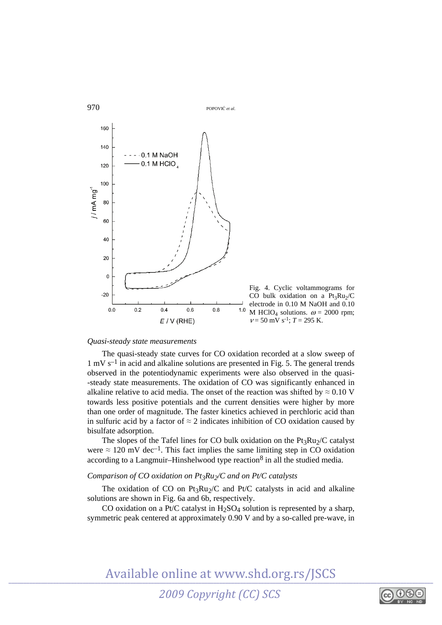

## *Quasi-steady state measurements*

The quasi-steady state curves for CO oxidation recorded at a slow sweep of  $1 \text{ mV s}^{-1}$  in acid and alkaline solutions are presented in Fig. 5. The general trends observed in the potentiodynamic experiments were also observed in the quasi- -steady state measurements. The oxidation of CO was significantly enhanced in alkaline relative to acid media. The onset of the reaction was shifted by  $\approx 0.10$  V towards less positive potentials and the current densities were higher by more than one order of magnitude. The faster kinetics achieved in perchloric acid than in sulfuric acid by a factor of  $\approx$  2 indicates inhibition of CO oxidation caused by bisulfate adsorption.

The slopes of the Tafel lines for CO bulk oxidation on the  $Pt_3Ru_2/C$  catalyst were  $\approx 120$  mV dec<sup>-1</sup>. This fact implies the same limiting step in CO oxidation according to a Langmuir–Hinshelwood type reaction<sup>8</sup> in all the studied media.

# *Comparison of CO oxidation on Pt3Ru2/C and on Pt/C catalysts*

The oxidation of CO on Pt<sub>3</sub>Ru<sub>2</sub>/C and Pt/C catalysts in acid and alkaline solutions are shown in Fig. 6a and 6b, respectively.

CO oxidation on a Pt/C catalyst in  $H<sub>2</sub>SO<sub>4</sub>$  solution is represented by a sharp, symmetric peak centered at approximately 0.90 V and by a so-called pre-wave, in

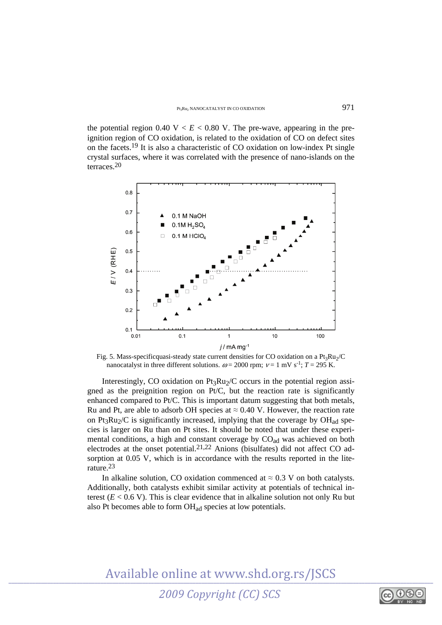the potential region  $0.40 \text{ V} < E < 0.80 \text{ V}$ . The pre-wave, appearing in the preignition region of CO oxidation, is related to the oxidation of CO on defect sites on the facets.19 It is also a characteristic of CO oxidation on low-index Pt single crystal surfaces, where it was correlated with the presence of nano-islands on the terraces.20



Fig. 5. Mass-specificquasi-steady state current densities for CO oxidation on a  $Pt_3Ru_2/C$ nanocatalyst in three different solutions.  $\omega = 2000$  rpm;  $v = 1$  mV s<sup>-1</sup>;  $T = 295$  K.

Interestingly, CO oxidation on  $Pt_3Ru_2/C$  occurs in the potential region assigned as the preignition region on Pt/C, but the reaction rate is significantly enhanced compared to Pt/C. This is important datum suggesting that both metals, Ru and Pt, are able to adsorb OH species at  $\approx 0.40$  V. However, the reaction rate on Pt<sub>3</sub>Ru<sub>2</sub>/C is significantly increased, implying that the coverage by  $OH<sub>ad</sub>$  species is larger on Ru than on Pt sites. It should be noted that under these experimental conditions, a high and constant coverage by CO<sub>ad</sub> was achieved on both electrodes at the onset potential.<sup>21,22</sup> Anions (bisulfates) did not affect CO adsorption at 0.05 V, which is in accordance with the results reported in the literature.23

In alkaline solution, CO oxidation commenced at  $\approx 0.3$  V on both catalysts. Additionally, both catalysts exhibit similar activity at potentials of technical interest  $(E < 0.6$  V). This is clear evidence that in alkaline solution not only Ru but also Pt becomes able to form OHad species at low potentials.



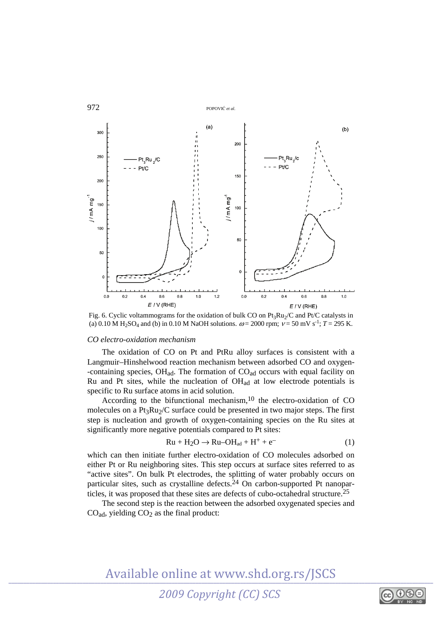

Fig. 6. Cyclic voltammograms for the oxidation of bulk CO on  $Pt_3Ru_2/C$  and  $Pt/C$  catalysts in (a) 0.10 M H<sub>2</sub>SO<sub>4</sub> and (b) in 0.10 M NaOH solutions.  $\omega = 2000$  rpm;  $v = 50$  mV s<sup>-1</sup>;  $T = 295$  K.

## *CO electro-oxidation mechanism*

The oxidation of CO on Pt and PtRu alloy surfaces is consistent with a Langmuir–Hinshelwood reaction mechanism between adsorbed CO and oxygen- -containing species,  $OH_{ad}$ . The formation of  $CO_{ad}$  occurs with equal facility on Ru and Pt sites, while the nucleation of  $OH<sub>ad</sub>$  at low electrode potentials is specific to Ru surface atoms in acid solution.

According to the bifunctional mechanism,<sup>10</sup> the electro-oxidation of CO molecules on a  $Pt_3Ru_2/C$  surface could be presented in two major steps. The first step is nucleation and growth of oxygen-containing species on the Ru sites at significantly more negative potentials compared to Pt sites:

$$
Ru + H_2O \rightarrow Ru-OH_{ad} + H^+ + e^-
$$
 (1)

which can then initiate further electro-oxidation of CO molecules adsorbed on either Pt or Ru neighboring sites. This step occurs at surface sites referred to as "active sites". On bulk Pt electrodes, the splitting of water probably occurs on particular sites, such as crystalline defects. $24$  On carbon-supported Pt nanoparticles, it was proposed that these sites are defects of cubo-octahedral structure.25

The second step is the reaction between the adsorbed oxygenated species and  $CO<sub>ad</sub>$ , yielding  $CO<sub>2</sub>$  as the final product:

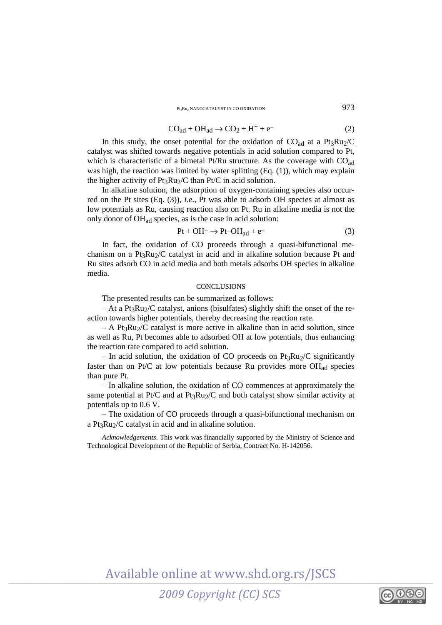$P<sub>t</sub>R<sub>u</sub>$ , nanocatalyst in co oxidation  $973$ 

$$
COad + OHad \rightarrow CO2 + H+ + e-
$$
 (2)

In this study, the onset potential for the oxidation of  $CO_{ad}$  at a Pt<sub>3</sub>Ru<sub>2</sub>/C catalyst was shifted towards negative potentials in acid solution compared to Pt, which is characteristic of a bimetal Pt/Ru structure. As the coverage with  $CO<sub>ad</sub>$ was high, the reaction was limited by water splitting (Eq. (1)), which may explain the higher activity of  $Pt_3Ru_2/C$  than  $Pt/C$  in acid solution.

In alkaline solution, the adsorption of oxygen-containing species also occurred on the Pt sites (Eq. (3)), *i.e*., Pt was able to adsorb OH species at almost as low potentials as Ru, causing reaction also on Pt. Ru in alkaline media is not the only donor of OHad species, as is the case in acid solution:

$$
Pt + OH^- \rightarrow Pt - OH_{ad} + e^-
$$
 (3)

In fact, the oxidation of CO proceeds through a quasi-bifunctional mechanism on a Pt<sub>3</sub>Ru<sub>2</sub>/C catalyst in acid and in alkaline solution because Pt and Ru sites adsorb CO in acid media and both metals adsorbs OH species in alkaline media.

## **CONCLUSIONS**

The presented results can be summarized as follows:

 $-$  At a Pt<sub>3</sub>Ru<sub>2</sub>/C catalyst, anions (bisulfates) slightly shift the onset of the reaction towards higher potentials, thereby decreasing the reaction rate.

 $-$  A Pt<sub>3</sub>Ru<sub>2</sub>/C catalyst is more active in alkaline than in acid solution, since as well as Ru, Pt becomes able to adsorbed OH at low potentials, thus enhancing the reaction rate compared to acid solution.

– In acid solution, the oxidation of CO proceeds on  $Pt_3Ru_2/C$  significantly faster than on Pt/C at low potentials because Ru provides more  $OH_{ad}$  species than pure Pt.

– In alkaline solution, the oxidation of CO commences at approximately the same potential at Pt/C and at Pt<sub>3</sub>Ru<sub>2</sub>/C and both catalyst show similar activity at potentials up to 0.6 V.

– The oxidation of CO proceeds through a quasi-bifunctional mechanism on a Pt<sub>3</sub>Ru<sub>2</sub>/C catalyst in acid and in alkaline solution.

*Acknowledgements*. This work was financially supported by the Ministry of Science and Technological Development of the Republic of Serbia, Contract No. H-142056.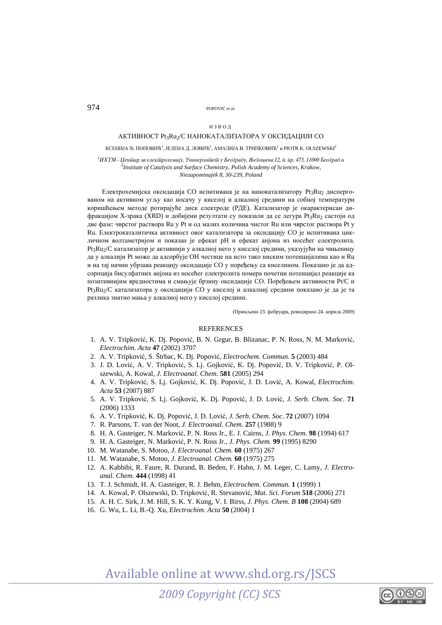## 974 POPOVI<sup>Ć</sup> *et al*.

#### ИЗВОД

### AКТИВНОСТ Pt3Ru2/C НАНОКАТАЛИЗАТОРА У ОКСИДАЦИЈИ СО

КСЕНИЈА Ђ. ПОПОВИЋ $^1$ , ЈЕЛЕНА Д. ЛОВИЋ $^1$ , АМАЛИЈА В. ТРИПКОВИЋ $^1$  и PIOTR K. OLSZEWSKI $^2$ 

<sup>1</sup>ИХТМ - Ценійар за елекійрохемију, Универзийией у Београду, Његошева 12, й. йр. 473, 11000 Београд и<br><sup>2</sup>1 vetitute of Cetaburis and Surface Chamistan, Bolish Academy of Saimace, Kagbour *Institute of Catalysis and Surface Chemistry, Polish Academy of Sciences, Krakow, Niezapominajek 8, 30-239, Poland* 

Електрохемијска оксидација СО испитивана је на нанокатализатору  $Pt_3Ru_2$  диспергованом на активном угљу као носачу у киселој и алкалној средини на собној температури коришћењем методе ротирајуће диск електроде (РДЕ). Катализатор је окарактерисан дифракцијом X-зрака (XRD) и добијени резултати су показали да се легура Pt<sub>3</sub>Ru<sub>2</sub> састоји од две фазе: чврстог раствора Ru у Pt и од малих количина чистог Ru или чврстог раствора Pt у Ru. Електрокаталитичка активност овог катализатора за оксидацију CO је испитивана цикличном волтаметријом и показан је ефекат pH и ефекат анjона из носећег електролита. Pt3Ru<sub>2</sub>/C катализатор је активнији у алкалној него у киселој средини, указујући на чињеницу да у алкалији Pt може да адсорбује ОH честице на исто тако ниским потенцијалима као и Ru и на тај начин убрзава реакцију оксидације CO у поређењу са киселином. Показано је да адсорпција бисулфатних анjона из носећег електролита помера почетни потенцијал реакције ка позитивнијим вредностима и смањује брзину оксидације CO. Поређењем активности Pt/C и  $Pt_3Ru_2/C$  катализатора у оксидацији CO у киселој и алкалниј средини показано је да је та разлика знатно мања у алкалној него у киселој средини.

(Примљено 23. фебруара, ревидирано 24. априла 2009)

## **REFERENCES**

- 1. A. V. Tripković, K. Dj. Popović, B. N. Grgur, B. Blizanac, P. N. Ross, N. M. Marković, *Electrochim. Acta* **47** (2002) 3707
- 2. A. V. Tripković, S. Štrbac, K. Dj. Popović, *Electrochem. Commun.* **5** (2003) 484
- 3. J. D. Lović, A. V. Tripković, S. Lj. Gojković, K. Dj. Popović, D. V. Tripković, P. Olszewski, A. Kowal, *J. Electroanal. Chem.* **581** (2005) 294
- 4. A. V. Tripković, S. Lj. Gojković, K. Dj. Popović, J. D. Lović, A. Kowal, *Electrochim. Acta* **53** (2007) 887
- 5. A. V. Tripković, S. Lj. Gojković, K. Dj. Popović, J. D. Lović, *J. Serb. Chem. Soc*. **71** (2006) 1333
- 6. A. V. Tripković, K. Dj. Popović, J. D. Lović, *J. Serb. Chem. Soc*. **72** (2007) 1094
- 7. R. Parsons, T. van der Noot, *J. Electroanal. Chem*. **257** (1988) 9
- 8. H. A. Gasteiger, N. Marković, P. N. Ross Jr., E. J. Cairns, *J. Phys. Chem*. **98** (1994) 617
- 9. H. A. Gasteiger, N. Marković, P. N. Ross Jr., *J. Phys. Chem.* **99** (1995) 8290
- 10. M. Watanabe, S. Motoo, *J. Electroanal. Chem.* **60** (1975) 267
- 11. M. Watanabe, S. Motoo, *J. Electroanal. Chem.* **60** (1975) 275
- 12. A. Kabbibi, R. Faure, R. Durand, B. Beden, F. Hahn, J. M. Leger, C. Lamy, *J. Electroanal. Chem.* **444** (1998) 41
- 13. T. J. Schmidt, H. A. Gasteiger, R. J. Behm, *Electrochem. Commun.* **1** (1999) 1
- 14. A. Kowal, P. Olszewski, D. Tripković, R. Stevanović, *Mat. Sci. Forum* **518** (2006) 271
- 15. A. H. C. Sirk, J. M. Hill, S. K. Y. Kung, V. I. Birss*, J. Phys. Chem. B* **108** (2004) 689
- 16. G. Wu, L. Li, B.-Q. Xu, *Electrochim. Acta* **50** (2004) 1